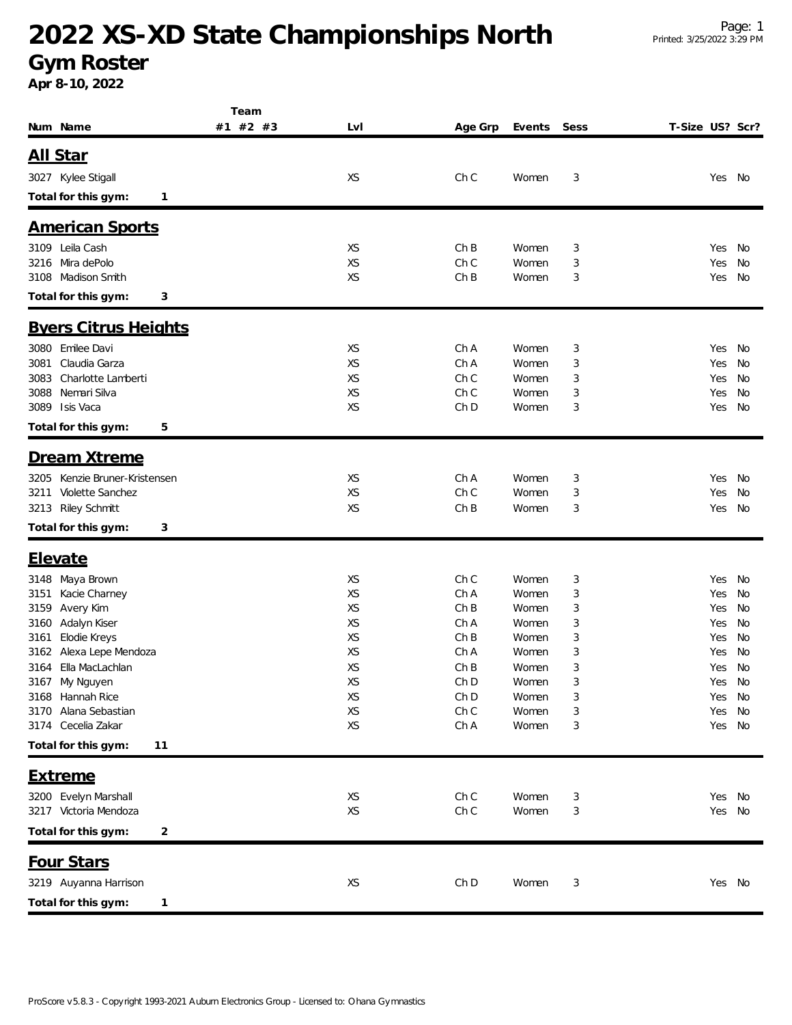# **2022 XS-XD State Championships North**

#### **Gym Roster**

**Apr 8-10, 2022**

|                                               | Team     |           |             |                |        |                 |                  |          |
|-----------------------------------------------|----------|-----------|-------------|----------------|--------|-----------------|------------------|----------|
| Num Name                                      | #1 #2 #3 | LvI       | Age Grp     | Events         | Sess   | T-Size US? Scr? |                  |          |
| <u>All Star</u>                               |          |           |             |                |        |                 |                  |          |
|                                               |          |           |             |                |        |                 |                  |          |
| 3027 Kylee Stigall                            |          | XS        | Ch C        | Women          | 3      |                 | Yes              | No       |
| Total for this gym:<br>$\mathbf{1}$           |          |           |             |                |        |                 |                  |          |
| <b>American Sports</b>                        |          |           |             |                |        |                 |                  |          |
| 3109 Leila Cash                               |          | XS        | ChB         | Women          | 3      |                 | Yes              | No       |
| Mira dePolo<br>3216                           |          | XS        | Ch C        | Women          | 3      |                 | Yes              | No       |
| Madison Smith<br>3108                         |          | XS        | ChB         | Women          | 3      |                 | Yes              | No       |
| Total for this gym:<br>3                      |          |           |             |                |        |                 |                  |          |
|                                               |          |           |             |                |        |                 |                  |          |
| <b>Byers Citrus Heights</b>                   |          |           |             |                |        |                 |                  |          |
| 3080 Emilee Davi                              |          | XS        | Ch A        | Women          | 3      |                 | Yes              | No       |
| Claudia Garza<br>3081                         |          | XS        | Ch A        | Women          | 3      |                 | Yes              | No       |
| 3083<br>Charlotte Lamberti                    |          | XS        | Ch C        | Women          | 3      |                 | Yes              | No       |
| Nemari Silva<br>3088                          |          | XS        | Ch C        | Women          | 3      |                 | Yes              | No       |
| Isis Vaca<br>3089                             |          | <b>XS</b> | Ch D        | Women          | 3      |                 | Yes              | No       |
| Total for this gym:<br>5                      |          |           |             |                |        |                 |                  |          |
| Dream Xtreme                                  |          |           |             |                |        |                 |                  |          |
| Kenzie Bruner-Kristensen<br>3205              |          | XS        | Ch A        | Women          | 3      |                 | Yes              | No       |
| Violette Sanchez<br>3211                      |          | XS        | Ch C        | Women          | 3      |                 | Yes              | No       |
| 3213 Riley Schmitt                            |          | XS        | ChB         | Women          | 3      |                 | Yes              | No       |
| Total for this gym:<br>3                      |          |           |             |                |        |                 |                  |          |
|                                               |          |           |             |                |        |                 |                  |          |
| <u>Elevate</u>                                |          |           |             |                |        |                 |                  |          |
| Maya Brown<br>3148                            |          | XS        | Ch C        | Women          | 3      |                 | Yes              | No       |
| Kacie Charney<br>3151                         |          | XS<br>XS  | Ch A<br>ChB | Women<br>Women | 3      |                 | Yes              | No       |
| Avery Kim<br>3159<br>Adalyn Kiser<br>3160     |          | XS        | Ch A        | Women          | 3<br>3 |                 | Yes<br>Yes       | No<br>No |
| Elodie Kreys<br>3161                          |          | XS        | ChB         | Women          | 3      |                 | Yes              | No       |
| Alexa Lepe Mendoza<br>3162                    |          | XS        | Ch A        | Women          | 3      |                 | Yes              | No       |
| Ella MacLachlan<br>3164                       |          | XS        | ChB         | Women          | 3      |                 | Yes              | No       |
| 3167 My Nguyen                                |          | XS        | Ch D        | Women          | 3      |                 | Yes              | No       |
| 3168 Hannah Rice                              |          | XS        | Ch D        | Women          | 3      |                 | Yes No           |          |
| Alana Sebastian<br>3170                       |          | XS        | Ch C        | Women          | 3      |                 | Yes              | No       |
| Cecelia Zakar<br>3174                         |          | XS        | Ch A        | Women          | 3      |                 | Yes              | No       |
| Total for this gym:<br>11                     |          |           |             |                |        |                 |                  |          |
| <b>Extreme</b>                                |          |           |             |                |        |                 |                  |          |
|                                               |          |           |             |                |        |                 |                  |          |
| 3200 Evelyn Marshall<br>3217 Victoria Mendoza |          | XS<br>XS  | Ch C<br>ChC | Women<br>Women | 3<br>3 |                 | Yes No<br>Yes No |          |
|                                               |          |           |             |                |        |                 |                  |          |
| Total for this gym:<br>2                      |          |           |             |                |        |                 |                  |          |
| Four Stars                                    |          |           |             |                |        |                 |                  |          |
| 3219 Auyanna Harrison                         |          | XS        | Ch D        | Women          | 3      |                 | Yes No           |          |
| Total for this gym:<br>1                      |          |           |             |                |        |                 |                  |          |
|                                               |          |           |             |                |        |                 |                  |          |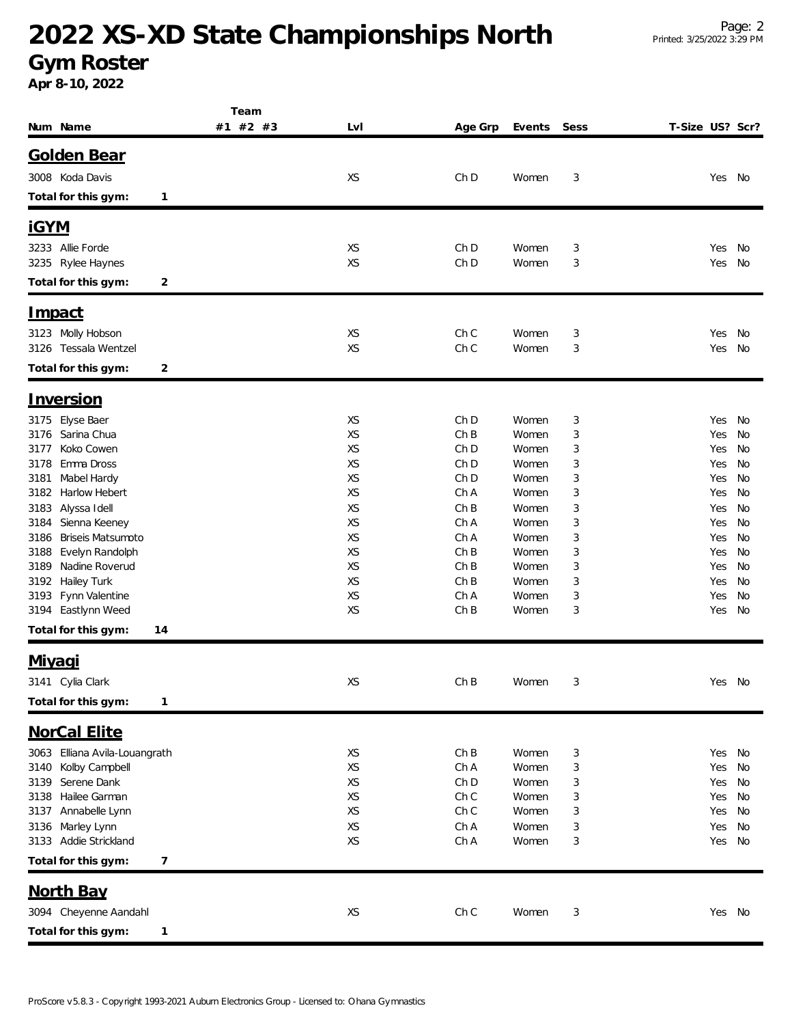# **2022 XS-XD State Championships North**

**Gym Roster**

**Apr 8-10, 2022**

|                                               | Team     |          |              |                |        |                 |            |          |
|-----------------------------------------------|----------|----------|--------------|----------------|--------|-----------------|------------|----------|
| Num Name                                      | #1 #2 #3 | LvI      | Age Grp      | Events         | Sess   | T-Size US? Scr? |            |          |
| <b>Golden Bear</b>                            |          |          |              |                |        |                 |            |          |
|                                               |          |          |              |                |        |                 |            |          |
| 3008 Koda Davis                               |          | XS       | Ch D         | Women          | 3      |                 | Yes No     |          |
| Total for this gym:<br>1                      |          |          |              |                |        |                 |            |          |
| <u>iGYM</u>                                   |          |          |              |                |        |                 |            |          |
| 3233 Allie Forde                              |          | XS       | Ch D         | Women          | 3      |                 | Yes        | No       |
| 3235 Rylee Haynes                             |          | XS       | Ch D         | Women          | 3      |                 | Yes        | No       |
| Total for this gym:<br>2                      |          |          |              |                |        |                 |            |          |
| <u>Impact</u>                                 |          |          |              |                |        |                 |            |          |
|                                               |          |          |              |                |        |                 |            |          |
| 3123 Molly Hobson<br>3126 Tessala Wentzel     |          | XS<br>XS | Ch C<br>Ch C | Women<br>Women | 3<br>3 |                 | Yes<br>Yes | No<br>No |
|                                               |          |          |              |                |        |                 |            |          |
| Total for this gym:<br>$\overline{c}$         |          |          |              |                |        |                 |            |          |
| <u>Inversion</u>                              |          |          |              |                |        |                 |            |          |
| Elyse Baer<br>3175                            |          | XS       | Ch D         | Women          | 3      |                 | Yes        | No       |
| Sarina Chua<br>3176                           |          | XS       | ChB          | Women          | 3      |                 | Yes        | No       |
| Koko Cowen<br>3177                            |          | XS       | Ch D         | Women          | 3      |                 | Yes        | No       |
| Emma Dross<br>3178                            |          | XS       | Ch D         | Women          | 3      |                 | Yes        | No       |
| Mabel Hardy<br>3181                           |          | XS       | Ch D         | Women          | 3      |                 | Yes        | No       |
| Harlow Hebert<br>3182                         |          | XS<br>XS | Ch A<br>ChB  | Women<br>Women | 3      |                 | Yes        | No       |
| Alyssa Idell<br>3183<br>Sienna Keeney<br>3184 |          | XS       | Ch A         | Women          | 3<br>3 |                 | Yes<br>Yes | No<br>No |
| <b>Briseis Matsumoto</b><br>3186              |          | XS       | Ch A         | Women          | 3      |                 | Yes        | No       |
| Evelyn Randolph<br>3188                       |          | XS       | ChB          | Women          | 3      |                 | Yes        | No       |
| Nadine Roverud<br>3189                        |          | XS       | ChB          | Women          | 3      |                 | Yes        | No       |
| Hailey Turk<br>3192                           |          | XS       | ChB          | Women          | 3      |                 | Yes        | No       |
| Fynn Valentine<br>3193                        |          | XS       | Ch A         | Women          | 3      |                 | Yes        | No       |
| Eastlynn Weed<br>3194                         |          | XS       | ChB          | Women          | 3      |                 | Yes        | No       |
| Total for this gym:<br>14                     |          |          |              |                |        |                 |            |          |
| <u>Miyaqi</u>                                 |          |          |              |                |        |                 |            |          |
| 3141 Cylia Clark                              |          | XS       | ChB          | Women          | 3      |                 | Yes No     |          |
| Total for this gym:<br>1                      |          |          |              |                |        |                 |            |          |
| NorCal Elite                                  |          |          |              |                |        |                 |            |          |
| Elliana Avila-Louangrath<br>3063              |          |          | ChB          | Women          |        |                 | Yes No     |          |
| Kolby Campbell<br>3140                        |          | XS<br>XS | Ch A         | Women          | 3<br>3 |                 | Yes        | No       |
| Serene Dank<br>3139                           |          | XS       | Ch D         | Women          | 3      |                 | Yes        | No       |
| Hailee Garman<br>3138                         |          | XS       | Ch C         | Women          | 3      |                 | Yes        | No       |
| Annabelle Lynn<br>3137                        |          | XS       | Ch C         | Women          | 3      |                 | Yes        | No       |
| Marley Lynn<br>3136                           |          | XS       | Ch A         | Women          | 3      |                 | Yes        | No       |
| Addie Strickland<br>3133                      |          | XS       | Ch A         | Women          | 3      |                 | Yes        | No       |
| Total for this gym:<br>7                      |          |          |              |                |        |                 |            |          |
| <b>North Bay</b>                              |          |          |              |                |        |                 |            |          |
| 3094 Cheyenne Aandahl                         |          | XS       | Ch C         | Women          | 3      |                 | Yes No     |          |
| Total for this gym:<br>1                      |          |          |              |                |        |                 |            |          |
|                                               |          |          |              |                |        |                 |            |          |